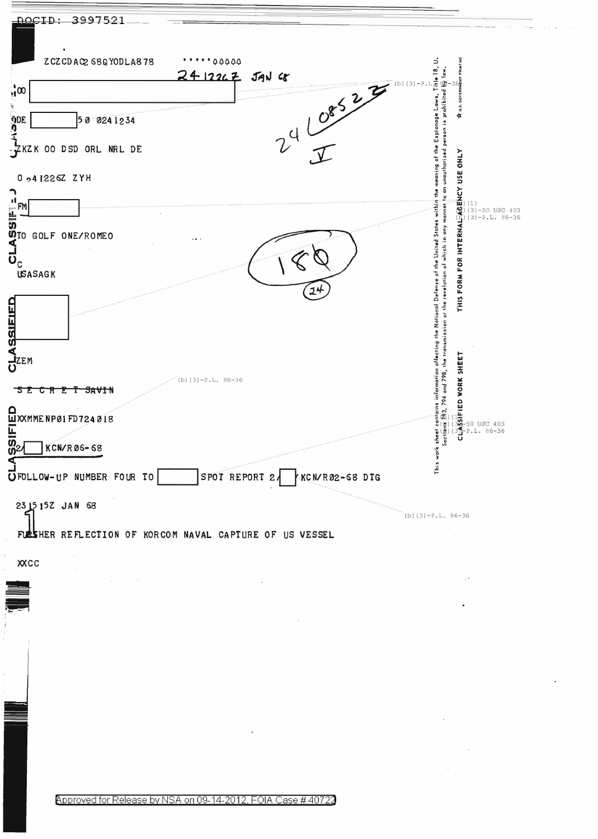